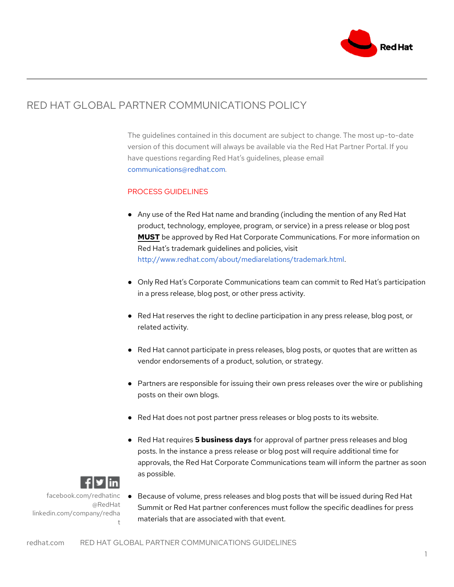

## RED HAT GLOBAL PARTNER COMMUNICATIONS POLICY

The guidelines contained in this document are subject to change. The most up-to-date version of this document will always be available via the Red Hat Partner Portal. If you have questions regarding Red Hat's guidelines, please email communications@redhat.com*.*

## PROCESS GUIDELINES

- Any use of the Red Hat name and branding (including the mention of any Red Hat product, technology, employee, program, or service) in a press release or blog post **MUST** be approved by Red Hat Corporate Communications. For more information on Red Hat's trademark guidelines and policies, visit http://www.redhat.com/about/mediarelations/trademark.html.
- Only Red Hat's Corporate Communications team can commit to Red Hat's participation in a press release, blog post, or other press activity.
- Red Hat reserves the right to decline participation in any press release, blog post, or related activity.
- Red Hat cannot participate in press releases, blog posts, or quotes that are written as vendor endorsements of a product, solution, or strategy.
- Partners are responsible for issuing their own press releases over the wire or publishing posts on their own blogs.
- Red Hat does not post partner press releases or blog posts to its website.
- Red Hat requires **5 business days** for approval of partner press releases and blog posts. In the instance a press release or blog post will require additional time for approvals, the Red Hat Corporate Communications team will inform the partner as soon as possible.



facebook.com/redhatinc @RedHat linkedin.com/company/redha t

● Because of volume, press releases and blog posts that will be issued during Red Hat Summit or Red Hat partner conferences must follow the specific deadlines for press materials that are associated with that event.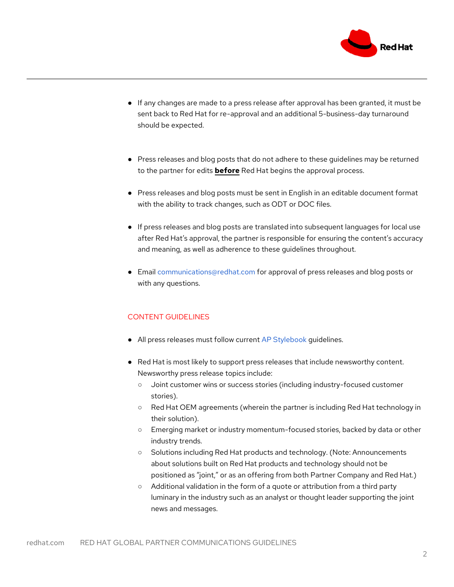

- If any changes are made to a press release after approval has been granted, it must be sent back to Red Hat for re-approval and an additional 5-business-day turnaround should be expected.
- Press releases and blog posts that do not adhere to these guidelines may be returned to the partner for edits **before** Red Hat begins the approval process.
- Press releases and blog posts must be sent in English in an editable document format with the ability to track changes, such as ODT or DOC files.
- If press releases and blog posts are translated into subsequent languages for local use after Red Hat's approval, the partner is responsible for ensuring the content's accuracy and meaning, as well as adherence to these guidelines throughout.
- Email communications@redhat.com for approval of press releases and blog posts or with any questions.

## CONTENT GUIDELINES

- All press releases must follow current AP Stylebook quidelines.
- Red Hat is most likely to support press releases that include newsworthy content. Newsworthy press release topics include:
	- Joint customer wins or success stories (including industry-focused customer stories).
	- Red Hat OEM agreements (wherein the partner is including Red Hat technology in their solution).
	- Emerging market or industry momentum-focused stories, backed by data or other industry trends.
	- Solutions including Red Hat products and technology. (Note: Announcements about solutions built on Red Hat products and technology should not be positioned as "joint," or as an offering from both Partner Company and Red Hat.)
	- Additional validation in the form of a quote or attribution from a third party luminary in the industry such as an analyst or thought leader supporting the joint news and messages.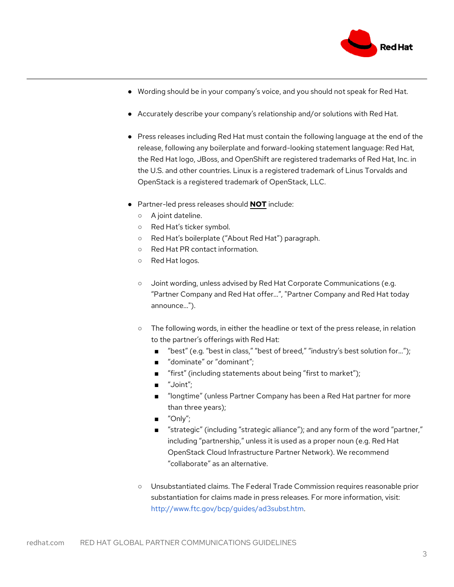

- Wording should be in your company's voice, and you should not speak for Red Hat.
- Accurately describe your company's relationship and/or solutions with Red Hat.
- Press releases including Red Hat must contain the following language at the end of the release, following any boilerplate and forward-looking statement language: Red Hat, the Red Hat logo, JBoss, and OpenShift are registered trademarks of Red Hat, Inc. in the U.S. and other countries. Linux is a registered trademark of Linus Torvalds and OpenStack is a registered trademark of OpenStack, LLC.
- Partner-led press releases should **NOT** include:
	- A joint dateline.
	- Red Hat's ticker symbol.
	- Red Hat's boilerplate ("About Red Hat") paragraph.
	- Red Hat PR contact information.
	- Red Hat logos.
	- Joint wording, unless advised by Red Hat Corporate Communications (e.g. "Partner Company and Red Hat offer...", "Partner Company and Red Hat today announce...").
	- The following words, in either the headline or text of the press release, in relation to the partner's offerings with Red Hat:
		- "best" (e.g. "best in class," "best of breed," "industry's best solution for...");
		- "dominate" or "dominant";
		- "first" (including statements about being "first to market");
		- "Joint";
		- "longtime" (unless Partner Company has been a Red Hat partner for more than three years);
		- "Only";
		- "strategic" (including "strategic alliance"); and any form of the word "partner," including "partnership," unless it is used as a proper noun (e.g. Red Hat OpenStack Cloud Infrastructure Partner Network). We recommend "collaborate" as an alternative.
	- Unsubstantiated claims. The Federal Trade Commission requires reasonable prior substantiation for claims made in press releases. For more information, visit: http://www.ftc.gov/bcp/guides/ad3subst.htm.